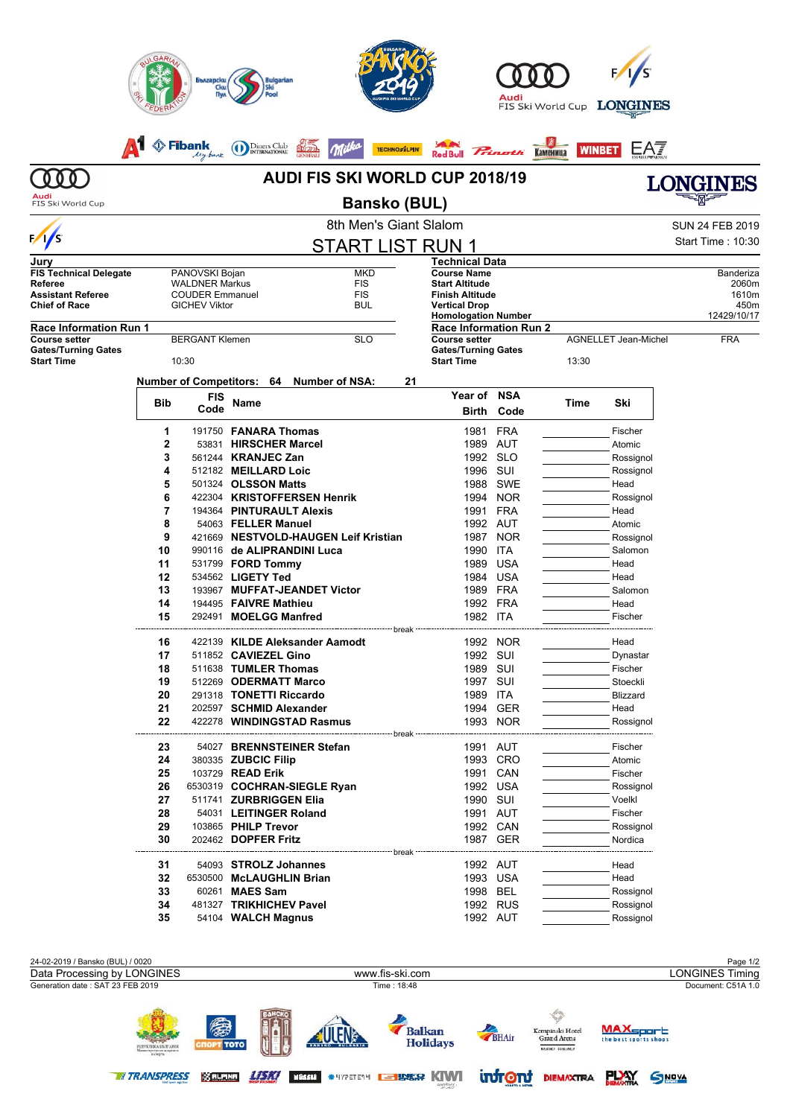|                                                       | <b>ILGAR</b>                                                        | Български                | <b>Bulgarian</b>                                                   |                             |                                                       | Audi                   | FIS Ski World Cup         | <b>LONGINES</b>             |                        |  |  |
|-------------------------------------------------------|---------------------------------------------------------------------|--------------------------|--------------------------------------------------------------------|-----------------------------|-------------------------------------------------------|------------------------|---------------------------|-----------------------------|------------------------|--|--|
|                                                       |                                                                     | <b>Eibank</b><br>My-bank | Diners Club<br>INTERNATIONAL                                       | <b>TECHNOSALPIN'</b>        | Red Bull                                              |                        | <b>WINBET</b><br>Каменица | EA7                         |                        |  |  |
| n n                                                   |                                                                     |                          | <b>LONGINES</b>                                                    |                             |                                                       |                        |                           |                             |                        |  |  |
| Audi<br>FIS Ski World Cup                             |                                                                     |                          |                                                                    | <b>Bansko (BUL)</b>         |                                                       |                        |                           |                             |                        |  |  |
|                                                       |                                                                     |                          |                                                                    | 8th Men's Giant Slalom      |                                                       |                        |                           |                             | <b>SUN 24 FEB 2019</b> |  |  |
| $\sqrt{s}$                                            |                                                                     |                          |                                                                    | <b>START LIST RUN 1</b>     |                                                       |                        |                           |                             | Start Time: 10:30      |  |  |
| Jury                                                  |                                                                     |                          |                                                                    |                             | <b>Technical Data</b>                                 |                        |                           |                             |                        |  |  |
| <b>FIS Technical Delegate</b><br>Referee              | PANOVSKI Bojan<br><b>MKD</b><br><b>FIS</b><br><b>WALDNER Markus</b> |                          |                                                                    |                             | <b>Course Name</b><br><b>Start Altitude</b>           |                        |                           |                             | Banderiza<br>2060m     |  |  |
| <b>Assistant Referee</b><br><b>Chief of Race</b>      | <b>FIS</b><br><b>COUDER Emmanuel</b><br><b>GICHEV Viktor</b><br>BUL |                          |                                                                    |                             | <b>Finish Altitude</b><br><b>Vertical Drop</b>        |                        | 1610m<br>450m             |                             |                        |  |  |
|                                                       |                                                                     |                          |                                                                    |                             | <b>Homologation Number</b>                            |                        |                           | 12429/10/17                 |                        |  |  |
| <b>Race Information Run 1</b><br><b>Course setter</b> |                                                                     | <b>BERGANT Klemen</b>    |                                                                    | <b>SLO</b>                  | <b>Race Information Run 2</b><br><b>Course setter</b> |                        |                           | <b>AGNELLET Jean-Michel</b> | <b>FRA</b>             |  |  |
| <b>Gates/Turning Gates</b><br><b>Start Time</b>       |                                                                     | 10:30                    |                                                                    |                             | <b>Gates/Turning Gates</b><br><b>Start Time</b>       |                        | 13:30                     |                             |                        |  |  |
|                                                       |                                                                     |                          | Number of Competitors: 64 Number of NSA:                           | 21                          |                                                       |                        |                           |                             |                        |  |  |
|                                                       | Bib                                                                 | <b>FIS</b>               | Name                                                               |                             | <b>Year of</b>                                        | <b>NSA</b>             | Time                      | Ski                         |                        |  |  |
|                                                       |                                                                     | Code                     |                                                                    |                             | Birth                                                 | Code                   |                           |                             |                        |  |  |
|                                                       | 1                                                                   |                          | 191750 <b>FANARA Thomas</b>                                        |                             | 1981                                                  | <b>FRA</b>             |                           | Fischer                     |                        |  |  |
|                                                       | 2<br>3                                                              |                          | 53831 HIRSCHER Marcel<br>561244 KRANJEC Zan                        |                             | 1989                                                  | AUT<br>1992 SLO        |                           | Atomic<br>Rossignol         |                        |  |  |
|                                                       | 4                                                                   |                          | 512182 MEILLARD Loic                                               |                             | 1996 SUI                                              |                        |                           | Rossignol                   |                        |  |  |
|                                                       | 5                                                                   |                          | 501324 OLSSON Matts                                                |                             | 1988                                                  | SWE                    |                           | Head                        |                        |  |  |
|                                                       | 6                                                                   |                          | 422304 KRISTOFFERSEN Henrik                                        |                             | 1994                                                  | <b>NOR</b>             |                           | Rossignol                   |                        |  |  |
|                                                       | 7<br>194364 PINTURAULT Alexis                                       |                          |                                                                    | 1991<br><b>FRA</b>          |                                                       |                        |                           | Head                        |                        |  |  |
|                                                       | 8<br>9                                                              |                          | 54063 FELLER Manuel                                                |                             |                                                       | 1992 AUT               |                           | Atomic                      |                        |  |  |
| 10                                                    |                                                                     |                          | 421669 NESTVOLD-HAUGEN Leif Kristian<br>990116 de ALIPRANDINI Luca |                             | 1990                                                  | 1987 NOR<br><b>ITA</b> |                           | Rossignol<br>Salomon        |                        |  |  |
|                                                       | 11<br>531799 <b>FORD Tommy</b>                                      |                          |                                                                    | 1989                        | USA                                                   |                        | Head                      |                             |                        |  |  |
|                                                       | 12                                                                  |                          | 534562 LIGETY Ted                                                  |                             | 1984                                                  | USA                    |                           | Head                        |                        |  |  |
|                                                       | 13                                                                  |                          | 193967 MUFFAT-JEANDET Victor                                       |                             | 1989                                                  | <b>FRA</b>             |                           | Salomon                     |                        |  |  |
|                                                       | 14                                                                  |                          | 194495 FAIVRE Mathieu                                              |                             | 1992                                                  | FRA                    |                           | Head                        |                        |  |  |
|                                                       | 15                                                                  |                          | 292491 MOELGG Manfred                                              | break                       | 1982 ITA                                              |                        |                           | Fischer                     |                        |  |  |
|                                                       | 16                                                                  |                          | 422139 KILDE Aleksander Aamodt                                     |                             |                                                       | 1992 NOR               |                           | Head                        |                        |  |  |
|                                                       | 17                                                                  |                          | 511852 CAVIEZEL Gino                                               |                             |                                                       | 1992 SUI               |                           | Dynastar                    |                        |  |  |
|                                                       | 18                                                                  |                          | 511638 TUMLER Thomas                                               |                             | 1989 SUI                                              |                        |                           | Fischer                     |                        |  |  |
|                                                       | 19<br>20                                                            |                          | 512269 ODERMATT Marco<br>291318 TONETTI Riccardo                   |                             | 1997 SUI<br>1989 ITA                                  |                        |                           | Stoeckli<br><b>Blizzard</b> |                        |  |  |
|                                                       | 21                                                                  |                          | 202597 SCHMID Alexander                                            |                             |                                                       | 1994 GER               |                           | Head                        |                        |  |  |
|                                                       | 22                                                                  |                          | 422278 WINDINGSTAD Rasmus                                          |                             |                                                       | 1993 NOR               |                           | Rossignol                   |                        |  |  |
|                                                       |                                                                     |                          |                                                                    |                             | --------------                                        |                        |                           |                             |                        |  |  |
|                                                       | 23<br>24                                                            |                          | 54027 BRENNSTEINER Stefan<br>380335 ZUBCIC Filip                   |                             |                                                       | 1991 AUT<br>1993 CRO   |                           | Fischer<br>Atomic           |                        |  |  |
|                                                       | 25                                                                  |                          | 103729 <b>READ Erik</b>                                            |                             |                                                       | 1991 CAN               |                           | Fischer                     |                        |  |  |
|                                                       | 26                                                                  |                          | 6530319 COCHRAN-SIEGLE Ryan                                        |                             |                                                       | 1992 USA               |                           | Rossignol                   |                        |  |  |
|                                                       | 27                                                                  |                          | 511741 ZURBRIGGEN Elia                                             |                             |                                                       | 1990 SUI               |                           | Voelkl                      |                        |  |  |
|                                                       | 28                                                                  |                          | 54031 LEITINGER Roland                                             |                             |                                                       | 1991 AUT               |                           | Fischer                     |                        |  |  |
|                                                       | 29<br>30                                                            |                          | 103865 PHILP Trevor<br>202462 <b>DOPFER Fritz</b>                  |                             |                                                       | 1992 CAN<br>1987 GER   |                           | Rossignol<br>Nordica        |                        |  |  |
|                                                       |                                                                     |                          |                                                                    | --------------------- break |                                                       |                        |                           |                             |                        |  |  |
|                                                       | 31                                                                  |                          | 54093 STROLZ Johannes                                              |                             |                                                       | 1992 AUT               |                           | Head                        |                        |  |  |
|                                                       | 32<br>33                                                            |                          | 6530500 McLAUGHLIN Brian<br>60261 MAES Sam                         |                             |                                                       | 1993 USA<br>1998 BEL   |                           | Head<br>Rossignol           |                        |  |  |
|                                                       | 34                                                                  |                          | 481327 TRIKHICHEV Pavel                                            |                             |                                                       | 1992 RUS               |                           | Rossignol                   |                        |  |  |
|                                                       | 35                                                                  |                          | 54104 WALCH Magnus                                                 |                             |                                                       | 1992 AUT               |                           | Rossignol                   |                        |  |  |
|                                                       |                                                                     |                          |                                                                    |                             |                                                       |                        |                           |                             |                        |  |  |